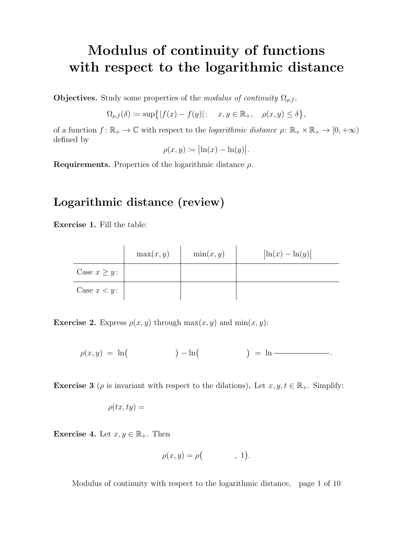## Modulus of continuity of functions with respect to the logarithmic distance

**Objectives.** Study some properties of the modulus of continuity  $\Omega_{\rho,f}$ ,

 $\Omega_{\rho,f}(\delta) \coloneqq \sup\{|f(x)-f(y)|: \quad x,y \in \mathbb{R}_+, \quad \rho(x,y) \leq \delta\},\,$ 

of a function  $f: \mathbb{R}_+ \to \mathbb{C}$  with respect to the *logarithmic distance*  $\rho: \mathbb{R}_+ \times \mathbb{R}_+ \to [0, +\infty)$ defined by

$$
\rho(x,y) \coloneqq \bigl| \ln(x) - \ln(y) \bigr|.
$$

**Requirements.** Properties of the logarithmic distance  $\rho$ .

#### Logarithmic distance (review)

Exercise 1. Fill the table:

|                   | max(x, y) | $\min(x, y)$ | $\left \ln(x) - \ln(y)\right $ |
|-------------------|-----------|--------------|--------------------------------|
| Case $x \geq y$ : |           |              |                                |
| Case $x < y$ :    |           |              |                                |

**Exercise 2.** Express  $\rho(x, y)$  through  $\max(x, y)$  and  $\min(x, y)$ :

ρ(x, y) = ln − ln = ln .

**Exercise 3** ( $\rho$  is invariant with respect to the dilations). Let  $x, y, t \in \mathbb{R}_+$ . Simplify:

$$
\rho(tx, ty) =
$$

Exercise 4. Let  $x, y \in \mathbb{R}_+$ . Then

$$
\rho(x,y) = \rho\big( \qquad , 1\big).
$$

Modulus of continuity with respect to the logarithmic distance, page 1 of 10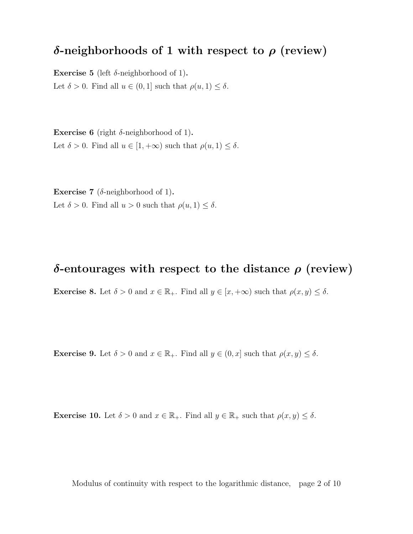### δ-neighborhoods of 1 with respect to  $ρ$  (review)

Exercise 5 (left  $\delta$ -neighborhood of 1). Let  $\delta > 0$ . Find all  $u \in (0, 1]$  such that  $\rho(u, 1) \leq \delta$ .

Exercise 6 (right  $\delta$ -neighborhood of 1). Let  $\delta > 0$ . Find all  $u \in [1, +\infty)$  such that  $\rho(u, 1) \leq \delta$ .

**Exercise 7** ( $\delta$ -neighborhood of 1). Let  $\delta > 0$ . Find all  $u > 0$  such that  $\rho(u, 1) \leq \delta$ .

#### δ-entourages with respect to the distance  $ρ$  (review)

**Exercise 8.** Let  $\delta > 0$  and  $x \in \mathbb{R}_+$ . Find all  $y \in [x, +\infty)$  such that  $\rho(x, y) \leq \delta$ .

**Exercise 9.** Let  $\delta > 0$  and  $x \in \mathbb{R}_+$ . Find all  $y \in (0, x]$  such that  $\rho(x, y) \leq \delta$ .

**Exercise 10.** Let  $\delta > 0$  and  $x \in \mathbb{R}_+$ . Find all  $y \in \mathbb{R}_+$  such that  $\rho(x, y) \leq \delta$ .

Modulus of continuity with respect to the logarithmic distance, page 2 of 10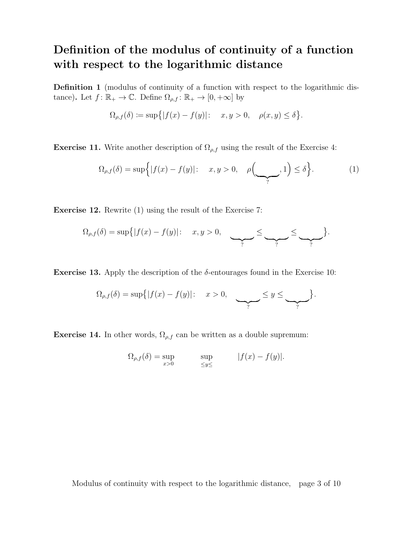## Definition of the modulus of continuity of a function with respect to the logarithmic distance

Definition 1 (modulus of continuity of a function with respect to the logarithmic distance). Let  $f: \mathbb{R}_+ \to \mathbb{C}$ . Define  $\Omega_{\rho,f} : \mathbb{R}_+ \to [0, +\infty]$  by

$$
\Omega_{\rho,f}(\delta) \coloneqq \sup\{|f(x) - f(y)|: \quad x, y > 0, \quad \rho(x, y) \le \delta\}.
$$

**Exercise 11.** Write another description of  $\Omega_{\rho,f}$  using the result of the Exercise 4:

$$
\Omega_{\rho,f}(\delta) = \sup\Big\{|f(x) - f(y)|: \quad x, y > 0, \quad \rho\Big(\underbrace{\qquad}_{?}, 1\Big) \leq \delta\Big\}.\tag{1}
$$

Exercise 12. Rewrite (1) using the result of the Exercise 7:

$$
\Omega_{\rho,f}(\delta) = \sup\{|f(x) - f(y)|: \quad x, y > 0, \quad \underbrace{\qquad \qquad}_{?} \leq \underbrace{\qquad \qquad}_{?} \leq \underbrace{\qquad \qquad}_{?}.
$$

**Exercise 13.** Apply the description of the  $\delta$ -entourages found in the Exercise 10:

$$
\Omega_{\rho,f}(\delta) = \sup\{|f(x) - f(y)|: \quad x > 0, \quad \underbrace{\qquad \qquad}_{?} \leq y \leq \underbrace{\qquad \qquad}_{?} \}.
$$

**Exercise 14.** In other words,  $\Omega_{\rho,f}$  can be written as a double supremum:

$$
\Omega_{\rho,f}(\delta) = \sup_{x>0} \qquad \sup_{\leq y \leq} |f(x) - f(y)|.
$$

Modulus of continuity with respect to the logarithmic distance, page 3 of 10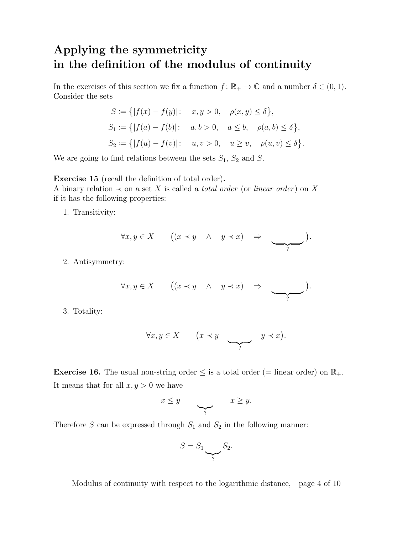## Applying the symmetricity in the definition of the modulus of continuity

In the exercises of this section we fix a function  $f: \mathbb{R}_+ \to \mathbb{C}$  and a number  $\delta \in (0, 1)$ . Consider the sets

$$
S := \{|f(x) - f(y)|: x, y > 0, \rho(x, y) \le \delta\},
$$
  
\n
$$
S_1 := \{|f(a) - f(b)|: a, b > 0, a \le b, \rho(a, b) \le \delta\},
$$
  
\n
$$
S_2 := \{|f(u) - f(v)|: u, v > 0, u \ge v, \rho(u, v) \le \delta\}.
$$

We are going to find relations between the sets  $S_1$ ,  $S_2$  and  $S$ .

Exercise 15 (recall the definition of total order).

A binary relation  $\prec$  on a set X is called a *total order* (or *linear order*) on X if it has the following properties:

1. Transitivity:

$$
\forall x, y \in X \qquad ((x \prec y \ \land \ y \prec x) \Rightarrow \qquad \qquad ).
$$

2. Antisymmetry:

$$
\forall x, y \in X \qquad ((x \prec y \ \land \ y \prec x) \Rightarrow \qquad \qquad ).
$$

3. Totality:

$$
\forall x, y \in X \qquad \left(x \prec y \qquad \qquad y \prec x\right).
$$

**Exercise 16.** The usual non-string order  $\leq$  is a total order (= linear order) on  $\mathbb{R}_+$ . It means that for all  $x, y > 0$  we have

$$
x \leq y \qquad \qquad x \geq y.
$$

Therefore S can be expressed through  $S_1$  and  $S_2$  in the following manner:

$$
S = S_1 \underbrace{\smash{\smash{\bigtriangledown_{S_2}}}}_{?} S_2.
$$

Modulus of continuity with respect to the logarithmic distance, page 4 of 10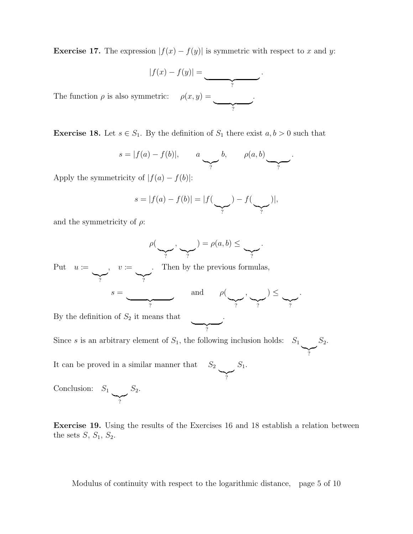**Exercise 17.** The expression  $|f(x) - f(y)|$  is symmetric with respect to x and y:

$$
|f(x) - f(y)| = \underbrace{\qquad \qquad }.
$$

.

The function  $\rho$  is also symmetric:  $\frac{1}{2}$ 

**Exercise 18.** Let  $s \in S_1$ . By the definition of  $S_1$  there exist  $a, b > 0$  such that

$$
s = |f(a) - f(b)|, \qquad a \longrightarrow b, \qquad \rho(a, b) \longrightarrow c.
$$

Apply the symmetricity of  $|f(a) - f(b)|$ :

$$
s = |f(a) - f(b)| = |f(\sum_{?}) - f(\sum_{?})|,
$$

and the symmetricity of  $\rho$ :

$$
\rho(\underbrace{\qquad \qquad}_{?}, \underbrace{\qquad \qquad}_{?}) = \rho(a, b) \leq \underbrace{\qquad \qquad}_{?}.
$$

Put  $u \coloneqq$  $\sum_{i}$  $, v :=$  $\sum_{i=1}^n$ . Then by the previous formulas,

$$
s=\underbrace{\qquad \qquad }_{?} \qquad \qquad \text{and} \qquad \rho(\underbrace{\qquad \qquad }_{?},\underbrace{\qquad \qquad }_{?})\leq \underbrace{\qquad \qquad }_{?}.
$$

 $\overline{y}$ ?

.

 $\sum_{i=1}^{n}$ 

By the definition of  $S_2$  it means that

Since s is an arbitrary element of  $S_1$ , the following inclusion holds:  $S_1$  $S_2$ .

It can be proved in a similar manner that  $S_2$  $\sum_{i=1}^{n}$  $S_1$ .

Conclusion:  $S_1$  $\sum_{i=1}^{n}$  $S_2$ .

Exercise 19. Using the results of the Exercises 16 and 18 establish a relation between the sets  $S$ ,  $S_1$ ,  $S_2$ .

Modulus of continuity with respect to the logarithmic distance, page 5 of 10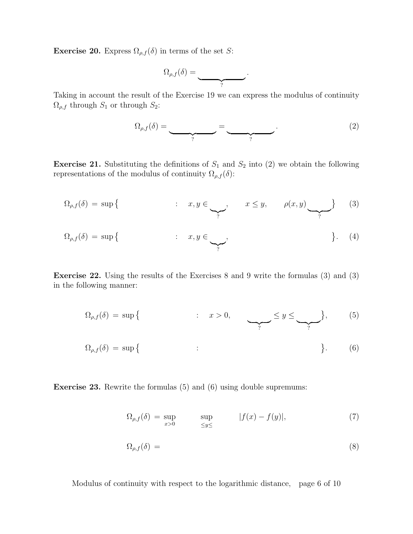**Exercise 20.** Express  $\Omega_{\rho,f}(\delta)$  in terms of the set S:

$$
\Omega_{\rho,f}(\delta)=\underbrace{\qquad \qquad }_{?}
$$

Taking in account the result of the Exercise 19 we can express the modulus of continuity  $\Omega_{\rho,f}$  through  $S_1$  or through  $S_2$ :

$$
\Omega_{\rho,f}(\delta) = \underbrace{\qquad \qquad}_{?} = \underbrace{\qquad \qquad}_{?} \tag{2}
$$

.

**Exercise 21.** Substituting the definitions of  $S_1$  and  $S_2$  into (2) we obtain the following representations of the modulus of continuity  $\Omega_{\rho,f}(\delta)$ :

$$
\Omega_{\rho,f}(\delta) = \sup \left\{ \qquad \qquad : \quad x, y \in \underbrace{\qquad}_{?}, \qquad x \leq y, \qquad \rho(x, y) \underbrace{\qquad}_{?} \right\} \tag{3}
$$

$$
\Omega_{\rho,f}(\delta) = \sup \left\{ \qquad \qquad : \quad x, y \in \underbrace{\qquad}_{?}, \qquad \qquad \right\}.
$$
 (4)

Exercise 22. Using the results of the Exercises 8 and 9 write the formulas (3) and (3) in the following manner:

$$
\Omega_{\rho,f}(\delta) = \sup \{ \qquad : \quad x > 0, \qquad \underbrace{\leq y \leq \underbrace{\leq y}_{?}} \}, \qquad (5)
$$

$$
\Omega_{\rho,f}(\delta) = \sup \{ \qquad : \qquad \qquad \}.
$$
 (6)

Exercise 23. Rewrite the formulas (5) and (6) using double supremums:

$$
\Omega_{\rho,f}(\delta) = \sup_{x>0} \qquad \sup_{\leq y \leq} |f(x) - f(y)|,\tag{7}
$$

$$
\Omega_{\rho,f}(\delta) = \tag{8}
$$

Modulus of continuity with respect to the logarithmic distance, page 6 of 10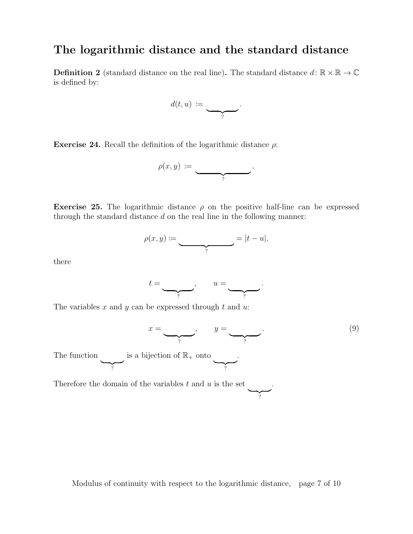### The logarithmic distance and the standard distance

**Definition 2** (standard distance on the real line). The standard distance  $d: \mathbb{R} \times \mathbb{R} \to \mathbb{C}$ is defined by:

$$
d(t,u) := \underbrace{\qquad \qquad }_{?}.
$$

Exercise 24. Recall the definition of the logarithmic distance  $\rho$ :

$$
\rho(x,y) \; := \; \underbrace{\qquad \qquad }_{?} \; .
$$

Exercise 25. The logarithmic distance  $\rho$  on the positive half-line can be expressed through the standard distance  $d$  on the real line in the following manner:

$$
\rho(x,y) := \underbrace{\qquad \qquad}_{?} = |t - u|,
$$

there

$$
t=\underbrace{\qquad \qquad}_{?}, \qquad u=\underbrace{\qquad \qquad}_{?}.
$$

The variables x and y can be expressed through t and  $u$ .

$$
x = \underbrace{\qquad \qquad}_{?}, \qquad y = \underbrace{\qquad \qquad}_{?}.
$$

 $\overline{y}$ ?

.

The function  $\sum_{?}$ is a bijection of  $\mathbb{R}_+$  onto  $\sum_{?}$ .

Therefore the domain of the variables  $t$  and  $u$  is the set

Modulus of continuity with respect to the logarithmic distance, page 7 of 10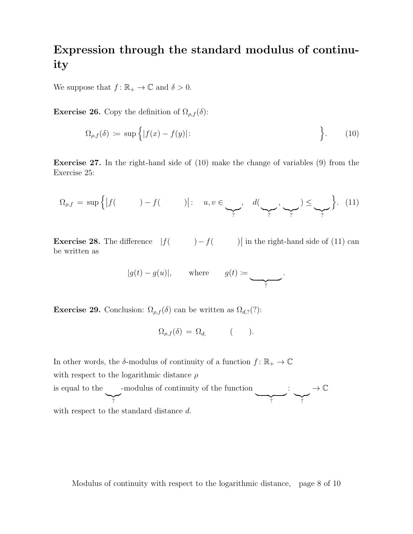#### Expression through the standard modulus of continuity

We suppose that  $f: \mathbb{R}_+ \to \mathbb{C}$  and  $\delta > 0$ .

**Exercise 26.** Copy the definition of  $\Omega_{\rho,f}(\delta)$ :

$$
\Omega_{\rho,f}(\delta) := \sup \Big\{ |f(x) - f(y)| : \Big\}.
$$
 (10)

Exercise 27. In the right-hand side of (10) make the change of variables (9) from the Exercise 25:

$$
\Omega_{\rho,f} = \sup \Big\{ \big| f(\qquad) - f(\qquad) \big| \colon u, v \in \underbrace{\qquad \qquad}_{?}, d(\underbrace{\qquad \qquad}_{?}, \underbrace{\qquad \qquad}_{?}) \leq \underbrace{\qquad}_{?} \Big\}.
$$
 (11)

**Exercise 28.** The difference  $|f( ) - f( )|$  in the right-hand side of (11) can be written as

$$
|g(t) - g(u)|
$$
, where  $g(t) := \underbrace{\qquad \qquad}_{?}$ .

**Exercise 29.** Conclusion:  $\Omega_{\rho,f}(\delta)$  can be written as  $\Omega_{d,2}(?)$ :

$$
\Omega_{\rho,f}(\delta) = \Omega_{d,}
$$
 ( ).

In other words, the  $\delta$ -modulus of continuity of a function  $f: \mathbb{R}_+ \to \mathbb{C}$ with respect to the logarithmic distance  $\rho$ is equal to the  $\sum_{i}$ -modulus of continuity of the function  $\overline{?}$ :  $\sum_{i=1}^{n}$  $\rightarrow \mathbb{C}$ with respect to the standard distance d.

Modulus of continuity with respect to the logarithmic distance, page 8 of 10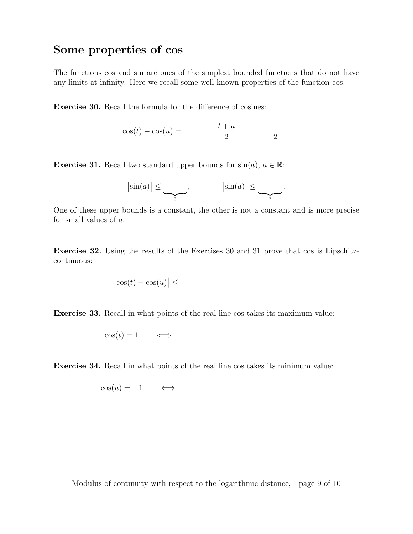#### Some properties of cos

The functions cos and sin are ones of the simplest bounded functions that do not have any limits at infinity. Here we recall some well-known properties of the function cos.

Exercise 30. Recall the formula for the difference of cosines:

$$
\cos(t) - \cos(u) = \frac{t+u}{2} \qquad \qquad \underline{\hspace{2cm}}.
$$

**Exercise 31.** Recall two standard upper bounds for  $sin(a)$ ,  $a \in \mathbb{R}$ :

$$
|\sin(a)| \leq \underbrace{\qquad \qquad}_{?}, \qquad \qquad |\sin(a)| \leq \underbrace{\qquad \qquad}_{?}.
$$

One of these upper bounds is a constant, the other is not a constant and is more precise for small values of a.

Exercise 32. Using the results of the Exercises 30 and 31 prove that cos is Lipschitzcontinuous:

$$
\left|\cos(t) - \cos(u)\right| \le
$$

Exercise 33. Recall in what points of the real line cos takes its maximum value:

$$
\cos(t) = 1 \qquad \Longleftrightarrow
$$

Exercise 34. Recall in what points of the real line cos takes its minimum value:

$$
\cos(u) = -1 \qquad \Longleftrightarrow
$$

Modulus of continuity with respect to the logarithmic distance, page 9 of 10